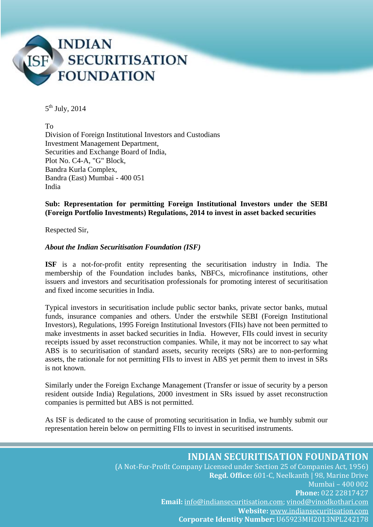

 $5^{\text{th}}$  July, 2014

To

Division of Foreign Institutional Investors and Custodians Investment Management Department, Securities and Exchange Board of India, Plot No. C4-A, "G" Block, Bandra Kurla Complex, Bandra (East) Mumbai - 400 051 India

**Sub: Representation for permitting Foreign Institutional Investors under the SEBI (Foreign Portfolio Investments) Regulations, 2014 to invest in asset backed securities** 

Respected Sir,

#### *About the Indian Securitisation Foundation (ISF)*

**ISF** is a not-for-profit entity representing the securitisation industry in India. The membership of the Foundation includes banks, NBFCs, microfinance institutions, other issuers and investors and securitisation professionals for promoting interest of securitisation and fixed income securities in India.

Typical investors in securitisation include public sector banks, private sector banks, mutual funds, insurance companies and others. Under the erstwhile SEBI (Foreign Institutional Investors), Regulations, 1995 Foreign Institutional Investors (FIIs) have not been permitted to make investments in asset backed securities in India. However, FIIs could invest in security receipts issued by asset reconstruction companies. While, it may not be incorrect to say what ABS is to securitisation of standard assets, security receipts (SRs) are to non-performing assets, the rationale for not permitting FIIs to invest in ABS yet permit them to invest in SRs is not known.

Similarly under the Foreign Exchange Management (Transfer or issue of security by a person resident outside India) Regulations, 2000 investment in SRs issued by asset reconstruction companies is permitted but ABS is not permitted.

As ISF is dedicated to the cause of promoting securitisation in India, we humbly submit our representation herein below on permitting FIIs to invest in securitised instruments.

**INDIAN SECURITISATION FOUNDATION**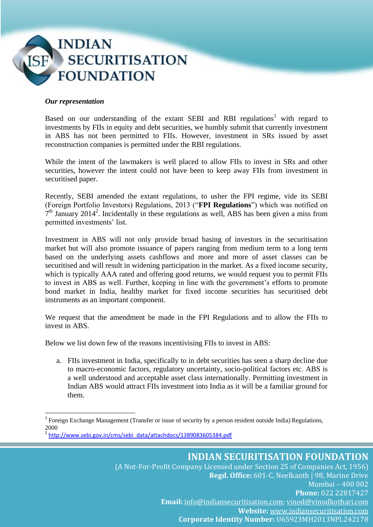

#### *Our representation*

1

Based on our understanding of the extant SEBI and RBI regulations<sup>1</sup> with regard to investments by FIIs in equity and debt securities, we humbly submit that currently investment in ABS has not been permitted to FIIs. However, investment in SRs issued by asset reconstruction companies is permitted under the RBI regulations.

While the intent of the lawmakers is well placed to allow FIIs to invest in SRs and other securities, however the intent could not have been to keep away FIIs from investment in securitised paper.

Recently, SEBI amended the extant regulations, to usher the FPI regime, vide its SEBI (Foreign Portfolio Investors) Regulations, 2013 ("**FPI Regulations**") which was notified on  $7<sup>th</sup>$  January 2014<sup>2</sup>. Incidentally in these regulations as well, ABS has been given a miss from permitted investments' list.

Investment in ABS will not only provide broad basing of investors in the securitisation market but will also promote issuance of papers ranging from medium term to a long term based on the underlying assets cashflows and more and more of asset classes can be securitised and will result in widening participation in the market. As a fixed income security, which is typically AAA rated and offering good returns, we would request you to permit FIIs to invest in ABS as well. Further, keeping in line with the government's efforts to promote bond market in India, healthy market for fixed income securities has securitised debt instruments as an important component.

We request that the amendment be made in the FPI Regulations and to allow the FIIs to invest in ABS.

Below we list down few of the reasons incentivising FIIs to invest in ABS:

a. FIIs investment in India, specifically to in debt securities has seen a sharp decline due to macro-economic factors, regulatory uncertainty, socio-political factors etc. ABS is a well understood and acceptable asset class internationally. Permitting investment in Indian ABS would attract FIIs investment into India as it will be a familiar ground for them.

<sup>&</sup>lt;sup>1</sup> Foreign Exchange Management (Transfer or issue of security by a person resident outside India) Regulations, 2000

<sup>&</sup>lt;sup>2</sup> [http://www.sebi.gov.in/cms/sebi\\_data/attachdocs/1389083605384.pdf](http://www.sebi.gov.in/cms/sebi_data/attachdocs/1389083605384.pdf)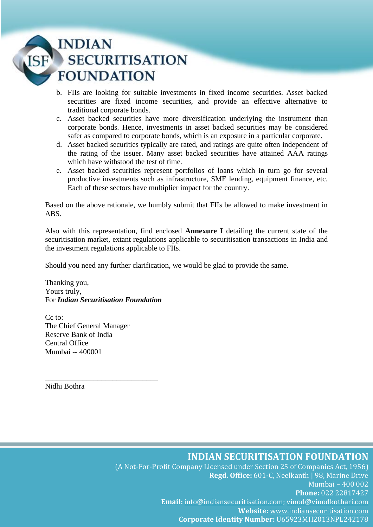# **INDIAN SECURITISATION FOUNDATION**

- b. FIIs are looking for suitable investments in fixed income securities. Asset backed securities are fixed income securities, and provide an effective alternative to traditional corporate bonds.
- c. Asset backed securities have more diversification underlying the instrument than corporate bonds. Hence, investments in asset backed securities may be considered safer as compared to corporate bonds, which is an exposure in a particular corporate.
- d. Asset backed securities typically are rated, and ratings are quite often independent of the rating of the issuer. Many asset backed securities have attained AAA ratings which have withstood the test of time.
- e. Asset backed securities represent portfolios of loans which in turn go for several productive investments such as infrastructure, SME lending, equipment finance, etc. Each of these sectors have multiplier impact for the country.

Based on the above rationale, we humbly submit that FIIs be allowed to make investment in ABS.

Also with this representation, find enclosed **Annexure I** detailing the current state of the securitisation market, extant regulations applicable to securitisation transactions in India and the investment regulations applicable to FIIs.

Should you need any further clarification, we would be glad to provide the same.

Thanking you, Yours truly, For *Indian Securitisation Foundation*

\_\_\_\_\_\_\_\_\_\_\_\_\_\_\_\_\_\_\_\_\_\_\_\_\_\_\_\_\_\_

Cc to: The Chief General Manager Reserve Bank of India Central Office Mumbai -- 400001

Nidhi Bothra

# **INDIAN SECURITISATION FOUNDATION**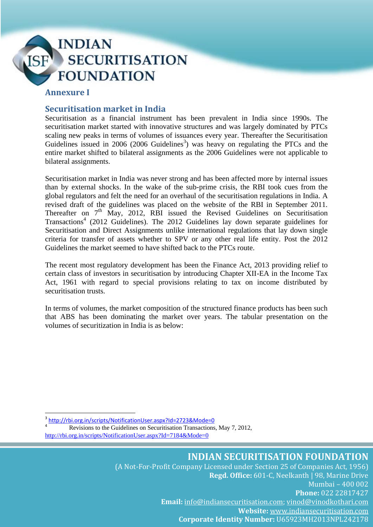# **INDIAN SECURITISATION FOUNDATION**

# **Annexure I**

1

# **Securitisation market in India**

Securitisation as a financial instrument has been prevalent in India since 1990s. The securitisation market started with innovative structures and was largely dominated by PTCs scaling new peaks in terms of volumes of issuances every year. Thereafter the Securitisation Guidelines issued in  $2006$  (2006 Guidelines<sup>3</sup>) was heavy on regulating the PTCs and the entire market shifted to bilateral assignments as the 2006 Guidelines were not applicable to bilateral assignments.

Securitisation market in India was never strong and has been affected more by internal issues than by external shocks. In the wake of the sub-prime crisis, the RBI took cues from the global regulators and felt the need for an overhaul of the securitisation regulations in India. A revised draft of the guidelines was placed on the website of the RBI in September 2011. Thereafter on 7<sup>th</sup> May, 2012, RBI issued the Revised Guidelines on Securitisation Transactions<sup>4</sup> (2012 Guidelines). The 2012 Guidelines lay down separate guidelines for Securitisation and Direct Assignments unlike international regulations that lay down single criteria for transfer of assets whether to SPV or any other real life entity. Post the 2012 Guidelines the market seemed to have shifted back to the PTCs route.

The recent most regulatory development has been the Finance Act, 2013 providing relief to certain class of investors in securitisation by introducing Chapter XII-EA in the Income Tax Act, 1961 with regard to special provisions relating to tax on income distributed by securitisation trusts.

In terms of volumes, the market composition of the structured finance products has been such that ABS has been dominating the market over years. The tabular presentation on the volumes of securitization in India is as below:

# **INDIAN SECURITISATION FOUNDATION**

<sup>3</sup> <http://rbi.org.in/scripts/NotificationUser.aspx?Id=2723&Mode=0>

Revisions to the Guidelines on Securitisation Transactions, May 7, 2012, <http://rbi.org.in/scripts/NotificationUser.aspx?Id=7184&Mode=0>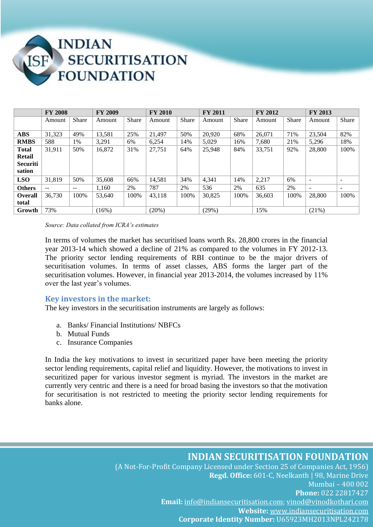

|                | <b>FY 2008</b> |              | <b>FY 2009</b> |              | <b>FY 2010</b> |              | <b>FY 2011</b> |              | <b>FY 2012</b> |              | <b>FY 2013</b>           |                          |
|----------------|----------------|--------------|----------------|--------------|----------------|--------------|----------------|--------------|----------------|--------------|--------------------------|--------------------------|
|                | Amount         | <b>Share</b> | Amount         | <b>Share</b> | Amount         | <b>Share</b> | Amount         | <b>Share</b> | Amount         | <b>Share</b> | Amount                   | <b>Share</b>             |
|                |                |              |                |              |                |              |                |              |                |              |                          |                          |
| <b>ABS</b>     | 31,323         | 49%          | 13.581         | 25%          | 21.497         | 50%          | 20,920         | 68%          | 26,071         | 71%          | 23,504                   | 82%                      |
| <b>RMBS</b>    | 588            | 1%           | 3.291          | 6%           | 6,254          | 14%          | 5,029          | 16%          | 7.680          | 21%          | 5.296                    | 18%                      |
| <b>Total</b>   | 31.911         | 50%          | 16.872         | 31%          | 27.751         | 64%          | 25,948         | 84%          | 33,751         | 92%          | 28,800                   | 100%                     |
| <b>Retail</b>  |                |              |                |              |                |              |                |              |                |              |                          |                          |
| Securiti       |                |              |                |              |                |              |                |              |                |              |                          |                          |
| sation         |                |              |                |              |                |              |                |              |                |              |                          |                          |
| <b>LSO</b>     | 31,819         | 50%          | 35,608         | 66%          | 14.581         | 34%          | 4,341          | 14%          | 2,217          | 6%           | $\overline{\phantom{0}}$ |                          |
| <b>Others</b>  | $ -$           | $- -$        | 1.160          | 2%           | 787            | 2%           | 536            | 2%           | 635            | 2%           | $\overline{\phantom{a}}$ | $\overline{\phantom{a}}$ |
| <b>Overall</b> | 36,730         | 100%         | 53,640         | 100%         | 43,118         | 100%         | 30,825         | 100%         | 36,603         | 100%         | 28,800                   | 100%                     |
| total          |                |              |                |              |                |              |                |              |                |              |                          |                          |
| Growth         | 73%            |              | (16%)          |              | (20%)          |              | (29%)          |              | 15%            |              | $(21\%)$                 |                          |

*Source: Data collated from ICRA's estimates*

In terms of volumes the market has securitised loans worth Rs. 28,800 crores in the financial year 2013-14 which showed a decline of 21% as compared to the volumes in FY 2012-13. The priority sector lending requirements of RBI continue to be the major drivers of securitisation volumes. In terms of asset classes, ABS forms the larger part of the securitisation volumes. However, in financial year 2013-2014, the volumes increased by 11% over the last year's volumes.

#### **Key investors in the market:**

The key investors in the securitisation instruments are largely as follows:

- a. Banks/ Financial Institutions/ NBFCs
- b. Mutual Funds
- c. Insurance Companies

In India the key motivations to invest in securitized paper have been meeting the priority sector lending requirements, capital relief and liquidity. However, the motivations to invest in securitized paper for various investor segment is myriad. The investors in the market are currently very centric and there is a need for broad basing the investors so that the motivation for securitisation is not restricted to meeting the priority sector lending requirements for banks alone.

### **INDIAN SECURITISATION FOUNDATION**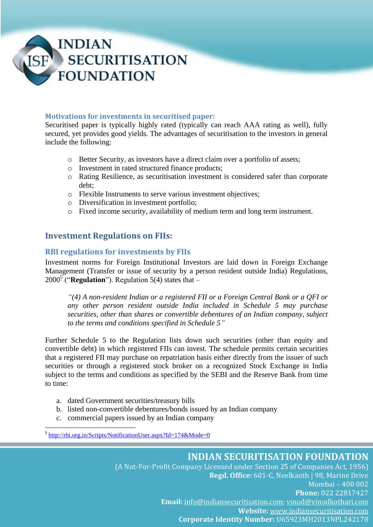

#### **Motivations for investments in securitised paper:**

Securitised paper is typically highly rated (typically can reach AAA rating as well), fully secured, yet provides good yields. The advantages of securitisation to the investors in general include the following:

- o Better Security, as investors have a direct claim over a portfolio of assets;
- o Investment in rated structured finance products;
- o Rating Resilience, as securitisation investment is considered safer than corporate debt;
- o Flexible Instruments to serve various investment objectives;
- o Diversification in investment portfolio;
- o Fixed income security, availability of medium term and long term instrument.

# **Investment Regulations on FIIs:**

#### **RBI regulations for investments by FIIs**

Investment norms for Foreign Institutional Investors are laid down in Foreign Exchange Management (Transfer or issue of security by a person resident outside India) Regulations,  $2000^5$  ("**Regulation**"). Regulation 5(4) states that –

*"(4) A non-resident Indian or a registered FII or a Foreign Central Bank or a QFI or any other person resident outside India included in Schedule 5 may purchase securities, other than shares or convertible debentures of an Indian company, subject to the terms and conditions specified in Schedule 5"*

Further Schedule 5 to the Regulation lists down such securities (other than equity and convertible debt) in which registered FIIs can invest. The schedule permits certain securities that a registered FII may purchase on repatriation basis either directly from the issuer of such securities or through a registered stock broker on a recognized Stock Exchange in India subject to the terms and conditions as specified by the SEBI and the Reserve Bank from time to time:

- a. dated Government securities/treasury bills
- b. listed non-convertible debentures/bonds issued by an Indian company
- c. commercial papers issued by an Indian company

<sup>5</sup> <http://rbi.org.in/Scripts/NotificationUser.aspx?Id=174&Mode=0>

1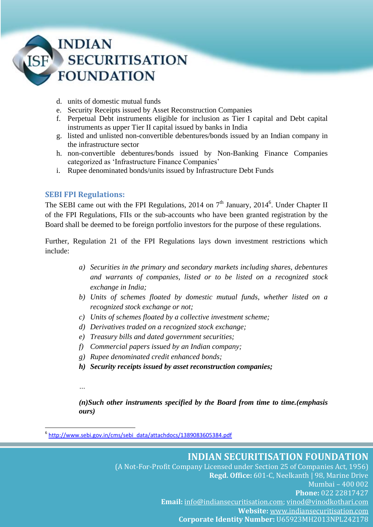

- d. units of domestic mutual funds
- e. Security Receipts issued by Asset Reconstruction Companies
- f. Perpetual Debt instruments eligible for inclusion as Tier I capital and Debt capital instruments as upper Tier II capital issued by banks in India
- g. listed and unlisted non-convertible debentures/bonds issued by an Indian company in the infrastructure sector
- h. non-convertible debentures/bonds issued by Non-Banking Finance Companies categorized as 'Infrastructure Finance Companies'
- i. Rupee denominated bonds/units issued by Infrastructure Debt Funds

#### **SEBI FPI Regulations:**

The SEBI came out with the FPI Regulations, 2014 on  $7<sup>th</sup>$  January, 2014<sup>6</sup>. Under Chapter II of the FPI Regulations, FIIs or the sub-accounts who have been granted registration by the Board shall be deemed to be foreign portfolio investors for the purpose of these regulations.

Further, Regulation 21 of the FPI Regulations lays down investment restrictions which include:

- *a) Securities in the primary and secondary markets including shares, debentures and warrants of companies, listed or to be listed on a recognized stock exchange in India;*
- *b) Units of schemes floated by domestic mutual funds, whether listed on a recognized stock exchange or not;*
- *c) Units of schemes floated by a collective investment scheme;*
- *d) Derivatives traded on a recognized stock exchange;*
- *e) Treasury bills and dated government securities;*
- *f) Commercial papers issued by an Indian company;*
- *g) Rupee denominated credit enhanced bonds;*
- *h) Security receipts issued by asset reconstruction companies;*
- *…*

1

*(n)Such other instruments specified by the Board from time to time.(emphasis ours)*

# **INDIAN SECURITISATION FOUNDATION**

<sup>&</sup>lt;sup>6</sup> [http://www.sebi.gov.in/cms/sebi\\_data/attachdocs/1389083605384.pdf](http://www.sebi.gov.in/cms/sebi_data/attachdocs/1389083605384.pdf)